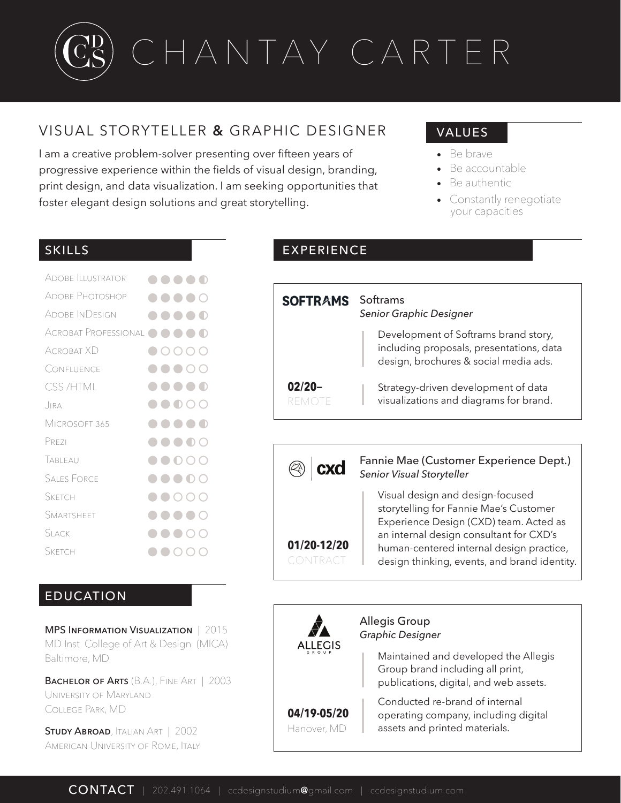# CHANTAY CARTER C C DE SIGN S T UDIUM

## VISUAL STORYTELLER **&** GRAPHIC DESIGNER

I am a creative problem-solver presenting over fifteen years of progressive experience within the fields of visual design, branding, print design, and data visualization. I am seeking opportunities that foster elegant design solutions and great storytelling.

### VALUES

- Be brave
- Be accountable
- Be authentic
- Constantly renegotiate your capacities

| <b>ADOBE ILLUSTRATOR</b> |                                                                         |
|--------------------------|-------------------------------------------------------------------------|
| Adobe Photoshop          | $\bullet\bullet\bullet\circ$                                            |
| Adobe InDesign           | $\bullet$ $\bullet$                                                     |
| ACROBAT PROFESSIONAL     | $\bigcirc$<br>$\Box$<br>$\bullet$ $\bullet$<br>$\overline{\phantom{a}}$ |
| Acrobat XD               | 0000                                                                    |
| Confluence               | $\bullet\bullet\circ\circ$                                              |
| <b>CSS/HTML</b>          | $\bigcirc$<br>.                                                         |
| JIRA                     | $\bullet$ $\bullet$ $\circ$ $\circ$                                     |
| Microsoft 365            | .                                                                       |
| PREZI                    | $\bullet\bullet\bullet\circ$                                            |
| TABLEAU                  | $\bullet\bullet\circ\circ\circ$                                         |
| <b>SALES FORCE</b>       | $\bullet\bullet\bullet\circ$                                            |
| SKETCH                   | $\bullet$ 000                                                           |
| SMARTSHEET               | $\bullet\bullet\bullet\circ$                                            |
| Slack                    | ∩<br>$\blacksquare$ $\bigcap$ $\bigcap$                                 |
| <b>SKETCH</b>            | C.                                                                      |
|                          |                                                                         |

#### EDUCATION

MPS Information Visualization | 2015 MD Inst. College of Art & Design (MICA) Baltimore, MD

BACHELOR OF ARTS (B.A.), FINE ART | 2003 University of Maryland College Park, MD

**STUDY ABROAD, ITALIAN ART | 2002** American University of Rome, Italy

#### SKILLS **EXPERIENCE**

| <b>SOFTRAMS</b> Softrams | Senior Graphic Designer                                                                                                   |  |
|--------------------------|---------------------------------------------------------------------------------------------------------------------------|--|
|                          | Development of Softrams brand story,<br>including proposals, presentations, data<br>design, brochures & social media ads. |  |
| $02/20 -$<br>REMC        | Strategy-driven development of data<br>visualizations and diagrams for brand.                                             |  |



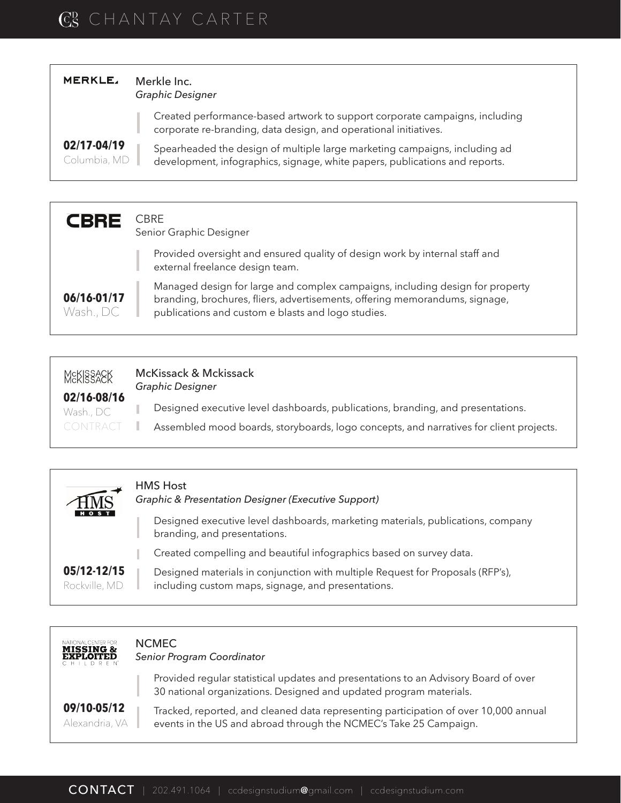# $\rm{C^D_S}$  chantay carter

| <b>MERKLE,</b>              | Merkle Inc.<br><b>Graphic Designer</b>                                                                                                                    |  |
|-----------------------------|-----------------------------------------------------------------------------------------------------------------------------------------------------------|--|
|                             | Created performance-based artwork to support corporate campaigns, including<br>corporate re-branding, data design, and operational initiatives.           |  |
| 02/17-04/19<br>Columbia, MD | Spearheaded the design of multiple large marketing campaigns, including ad<br>development, infographics, signage, white papers, publications and reports. |  |

| <b>CBRE</b>              | CBRE<br>Senior Graphic Designer                                                                                                                                                                                    |
|--------------------------|--------------------------------------------------------------------------------------------------------------------------------------------------------------------------------------------------------------------|
|                          | Provided oversight and ensured quality of design work by internal staff and<br>external freelance design team.                                                                                                     |
| 06/16-01/17<br>Wash., DC | Managed design for large and complex campaigns, including design for property<br>branding, brochures, fliers, advertisements, offering memorandums, signage,<br>publications and custom e blasts and logo studies. |

| <b>MEKISSAEK</b><br>02/16-08/16 | McKissack & Mckissack<br>Graphic Designer                                              |
|---------------------------------|----------------------------------------------------------------------------------------|
| Wash., DC                       | Designed executive level dashboards, publications, branding, and presentations.        |
| <b>CONTRACT</b>                 | Assembled mood boards, storyboards, logo concepts, and narratives for client projects. |
|                                 |                                                                                        |

| $\widehat{MS}$               | <b>HMS Host</b><br>Graphic & Presentation Designer (Executive Support)                                                               |
|------------------------------|--------------------------------------------------------------------------------------------------------------------------------------|
| <b>HOST</b>                  | Designed executive level dashboards, marketing materials, publications, company<br>branding, and presentations.                      |
|                              | Created compelling and beautiful infographics based on survey data.                                                                  |
| 05/12-12/15<br>Rockville, MD | Designed materials in conjunction with multiple Request for Proposals (RFP's),<br>including custom maps, signage, and presentations. |

| NATIONAL CENTER FOR<br><b>MISSING &amp;</b><br><b>EXPLOITED</b><br>CHILDREN <sup>*</sup> | <b>NCMEC</b><br>Senior Program Coordinator                                                                                                                |  |
|------------------------------------------------------------------------------------------|-----------------------------------------------------------------------------------------------------------------------------------------------------------|--|
|                                                                                          | Provided regular statistical updates and presentations to an Advisory Board of over<br>30 national organizations. Designed and updated program materials. |  |
| 09/10-05/12<br>Alexandria, VA                                                            | Tracked, reported, and cleaned data representing participation of over 10,000 annual<br>events in the US and abroad through the NCMEC's Take 25 Campaign. |  |